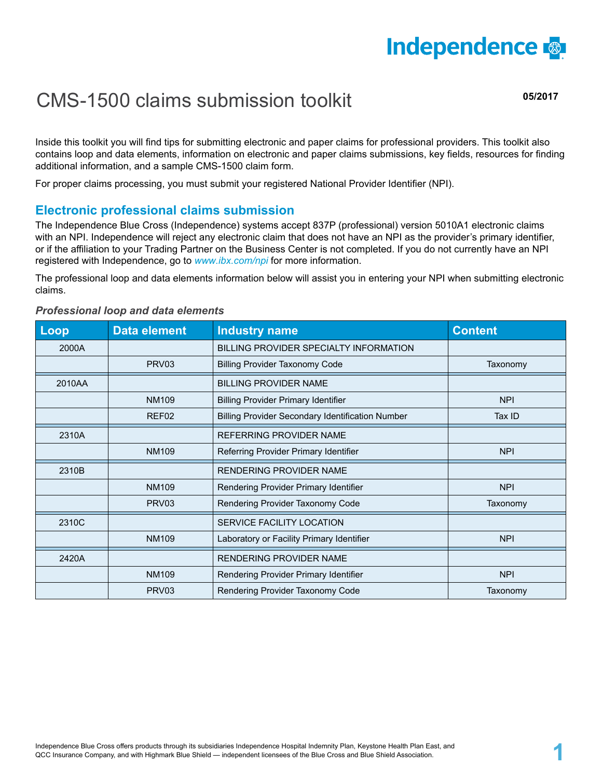

## CMS-1500 claims submission toolkit

**05/2017**

Inside this toolkit you will find tips for submitting electronic and paper claims for professional providers. This toolkit also contains loop and data elements, information on electronic and paper claims submissions, key fields, resources for finding additional information, and a sample CMS-1500 claim form.

For proper claims processing, you must submit your registered National Provider Identifier (NPI).

#### **Electronic professional claims submission**

The Independence Blue Cross (Independence) systems accept 837P (professional) version 5010A1 electronic claims with an NPI. Independence will reject any electronic claim that does not have an NPI as the provider's primary identifier, or if the affiliation to your Trading Partner on the Business Center is not completed. If you do not currently have an NPI registered with Independence, go to *www.ibx.com/npi* for more information.

The professional loop and data elements information below will assist you in entering your NPI when submitting electronic claims.

### **Loop Data element Industry name Content Content** 2000A BILLING PROVIDER SPECIALTY INFORMATION PRV03 Billing Provider Taxonomy Code Taxonomy Code Taxonomy 2010AA | BILLING PROVIDER NAME NM109 Billing Provider Primary Identifier NPI NPI REF02 Billing Provider Secondary Identification Number **Tax ID** 2310A REFERRING PROVIDER NAME NM109 Referring Provider Primary Identifier NPI NPI 2310B | RENDERING PROVIDER NAME NM109 Rendering Provider Primary Identifier Network NPI PRV03 Rendering Provider Taxonomy Code Taxonomy Communication of the Taxonomy 2310C CONTROL CONTROL CONTROL SERVICE FACILITY LOCATION NM109 Laboratory or Facility Primary Identifier NPI NPI 2420A RENDERING PROVIDER NAME NM109 Rendering Provider Primary Identifier NPI NPI PRV03 Rendering Provider Taxonomy Code Taxonomy Communication of the Taxonomy

#### *Professional loop and data elements*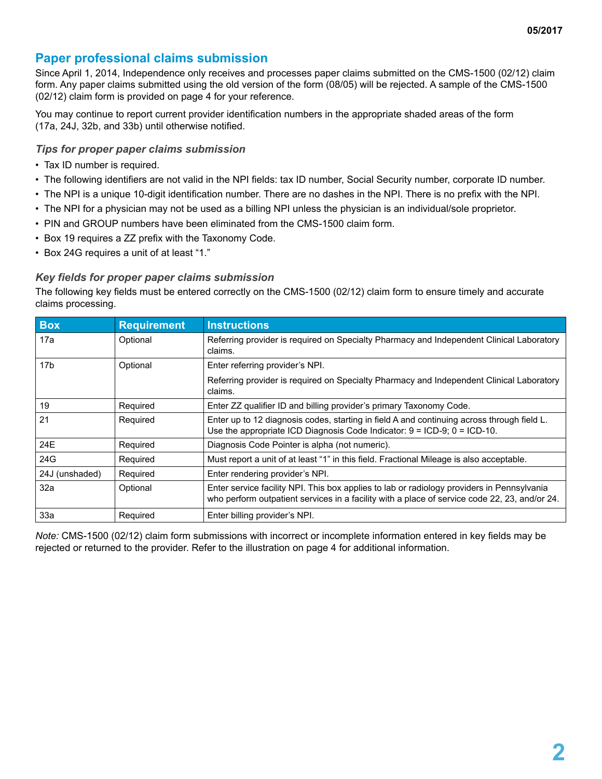#### **Paper professional claims submission**

Since April 1, 2014, Independence only receives and processes paper claims submitted on the CMS-1500 (02/12) claim form. Any paper claims submitted using the old version of the form (08/05) will be rejected. A sample of the CMS-1500 (02/12) claim form is provided on page 4 for your reference.

You may continue to report current provider identification numbers in the appropriate shaded areas of the form (17a, 24J, 32b, and 33b) until otherwise notified.

#### *Tips for proper paper claims submission*

- Tax ID number is required.
- The following identifiers are not valid in the NPI fields: tax ID number, Social Security number, corporate ID number.
- The NPI is a unique 10-digit identification number. There are no dashes in the NPI. There is no prefix with the NPI.
- The NPI for a physician may not be used as a billing NPI unless the physician is an individual/sole proprietor.
- PIN and GROUP numbers have been eliminated from the CMS-1500 claim form.
- Box 19 requires a ZZ prefix with the Taxonomy Code.
- Box 24G requires a unit of at least "1."

#### *Key fields for proper paper claims submission*

The following key fields must be entered correctly on the CMS-1500 (02/12) claim form to ensure timely and accurate claims processing.

| <b>Box</b>      | <b>Requirement</b> | <b>Instructions</b>                                                                                                                                                                         |
|-----------------|--------------------|---------------------------------------------------------------------------------------------------------------------------------------------------------------------------------------------|
| 17a             | Optional           | Referring provider is required on Specialty Pharmacy and Independent Clinical Laboratory<br>claims.                                                                                         |
| 17 <sub>b</sub> | Optional           | Enter referring provider's NPI.                                                                                                                                                             |
|                 |                    | Referring provider is required on Specialty Pharmacy and Independent Clinical Laboratory<br>claims.                                                                                         |
| 19              | Required           | Enter ZZ qualifier ID and billing provider's primary Taxonomy Code.                                                                                                                         |
| 21              | Required           | Enter up to 12 diagnosis codes, starting in field A and continuing across through field L.<br>Use the appropriate ICD Diagnosis Code Indicator: $9 = ICD-9$ ; $0 = ICD-10$ .                |
| 24E             | Required           | Diagnosis Code Pointer is alpha (not numeric).                                                                                                                                              |
| 24G             | Required           | Must report a unit of at least "1" in this field. Fractional Mileage is also acceptable.                                                                                                    |
| 24J (unshaded)  | Required           | Enter rendering provider's NPI.                                                                                                                                                             |
| 32a             | Optional           | Enter service facility NPI. This box applies to lab or radiology providers in Pennsylvania<br>who perform outpatient services in a facility with a place of service code 22, 23, and/or 24. |
| 33a             | Required           | Enter billing provider's NPI.                                                                                                                                                               |

*Note:* CMS-1500 (02/12) claim form submissions with incorrect or incomplete information entered in key fields may be rejected or returned to the provider. Refer to the illustration on page 4 for additional information.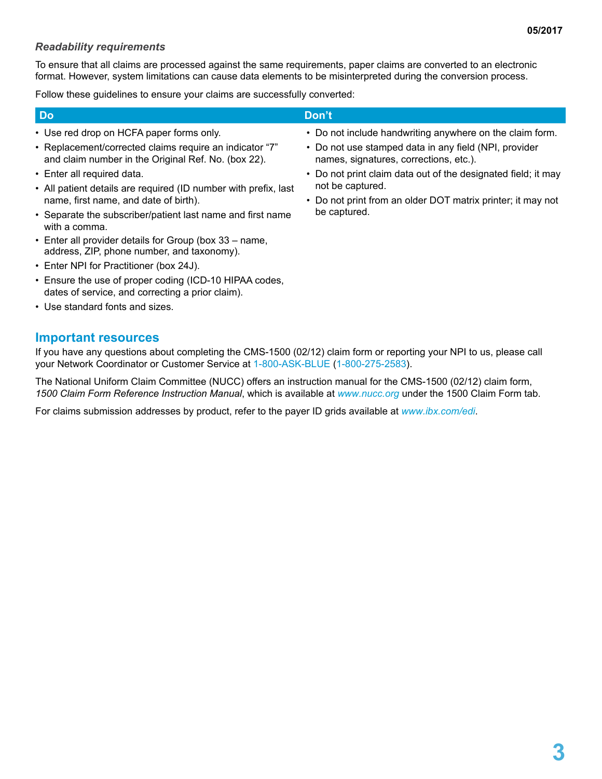#### *Readability requirements*

To ensure that all claims are processed against the same requirements, paper claims are converted to an electronic format. However, system limitations can cause data elements to be misinterpreted during the conversion process.

Follow these guidelines to ensure your claims are successfully converted:

| <b>Do</b>                                                                                                      | Don't                                                                                           |
|----------------------------------------------------------------------------------------------------------------|-------------------------------------------------------------------------------------------------|
| • Use red drop on HCFA paper forms only.                                                                       | • Do not include handwriting anywhere on the claim form.                                        |
| • Replacement/corrected claims require an indicator "7"<br>and claim number in the Original Ref. No. (box 22). | • Do not use stamped data in any field (NPI, provider<br>names, signatures, corrections, etc.). |
| • Enter all required data.                                                                                     | • Do not print claim data out of the designated field; it may                                   |
| • All patient details are required (ID number with prefix, last                                                | not be captured.                                                                                |

- Separate the subscriber/patient last name and first name • Do not print from an older DOT matrix printer; it may not be captured.
- with a comma. • Enter all provider details for Group (box 33 – name,
- address, ZIP, phone number, and taxonomy).
- Enter NPI for Practitioner (box 24J).

name, first name, and date of birth).

- Ensure the use of proper coding (ICD-10 HIPAA codes, dates of service, and correcting a prior claim).
- Use standard fonts and sizes.

#### **Important resources**

If you have any questions about completing the CMS-1500 (02/12) claim form or reporting your NPI to us, please call your Network Coordinator or Customer Service at 1-800-ASK-BLUE (1-800-275-2583).

The National Uniform Claim Committee (NUCC) offers an instruction manual for the CMS-1500 (02/12) claim form, *1500 Claim Form Reference Instruction Manual*, which is available at *www.nucc.org* under the 1500 Claim Form tab.

For claims submission addresses by product, refer to the payer ID grids available at *www.ibx.com/edi*.